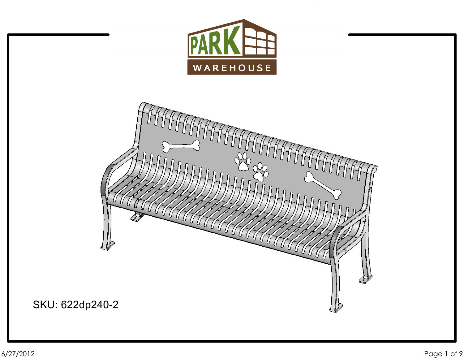

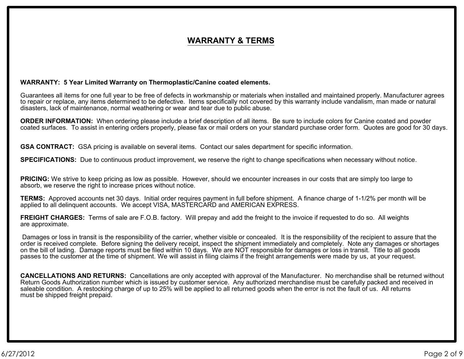### **WARRANTY & TERMS**

#### **WARRANTY: 5 Year Limited Warranty on Thermoplastic/Canine coated elements.**

Guarantees all items for one full year to be free of defects in workmanship or materials when installed and maintained properly. Manufacturer agrees to repair or replace, any items determined to be defective. Items specifically not covered by this warranty include vandalism, man made or natural disasters, lack of maintenance, normal weathering or wear and tear due to public abuse.

**ORDER INFORMATION:** When ordering please include a brief description of all items. Be sure to include colors for Canine coated and powder coated surfaces. To assist in entering orders properly, please fax or mail orders on your standard purchase order form. Quotes are good for 30 days.

**GSA CONTRACT:** GSA pricing is available on several items. Contact our sales department for specific information.

**SPECIFICATIONS:** Due to continuous product improvement, we reserve the right to change specifications when necessary without notice.

**PRICING:** We strive to keep pricing as low as possible. However, should we encounter increases in our costs that are simply too large to absorb, we reserve the right to increase prices without notice.

**TERMS:** Approved accounts net 30 days. Initial order requires payment in full before shipment. A finance charge of 1-1/2% per month will be applied to all delinquent accounts. We accept VISA, MASTERCARD and AMERICAN EXPRESS.

**FREIGHT CHARGES:** Terms of sale are F.O.B. factory. Will prepay and add the freight to the invoice if requested to do so. All weights are approximate.

Damages or loss in transit is the responsibility of the carrier, whether visible or concealed. It is the responsibility of the recipient to assure that the order is received complete. Before signing the delivery receipt, inspect the shipment immediately and completely. Note any damages or shortages on the bill of lading. Damage reports must be filed within 10 days. We are NOT responsible for damages or loss in transit. Title to all goods passes to the customer at the time of shipment. We will assist in filing claims if the freight arrangements were made by us, at your request.

**CANCELLATIONS AND RETURNS:** Cancellations are only accepted with approval of the Manufacturer. No merchandise shall be returned without Return Goods Authorization number which is issued by customer service. Any authorized merchandise must be carefully packed and received in saleable condition. A restocking charge of up to 25% will be applied to all returned goods when the error is not the fault of us. All returns must be shipped freight prepaid.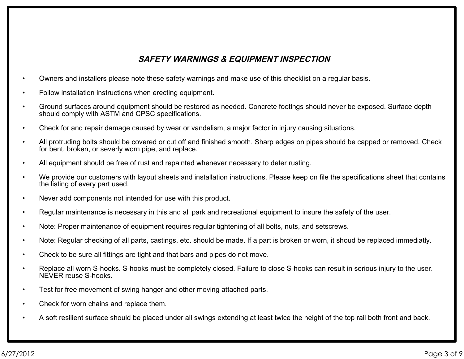### **SAFETY WARNINGS & EQUIPMENT INSPECTION**

- Owners and installers please note these safety warnings and make use of this checklist on a regular basis.
- Follow installation instructions when erecting equipment.
- Ground surfaces around equipment should be restored as needed. Concrete footings should never be exposed. Surface depth should comply with ASTM and CPSC specifications.
- Check for and repair damage caused by wear or vandalism, a major factor in injury causing situations.
- All protruding bolts should be covered or cut off and finished smooth. Sharp edges on pipes should be capped or removed. Check for bent, broken, or severly worn pipe, and replace.
- All equipment should be free of rust and repainted whenever necessary to deter rusting.
- We provide our customers with layout sheets and installation instructions. Please keep on file the specifications sheet that contains the listing of every part used.
- Never add components not intended for use with this product.
- Regular maintenance is necessary in this and all park and recreational equipment to insure the safety of the user.
- Note: Proper maintenance of equipment requires regular tightening of all bolts, nuts, and setscrews.
- Note: Regular checking of all parts, castings, etc. should be made. If a part is broken or worn, it shoud be replaced immediatly.
- Check to be sure all fittings are tight and that bars and pipes do not move.
- Replace all worn S-hooks. S-hooks must be completely closed. Failure to close S-hooks can result in serious injury to the user. NEVER reuse S-hooks.
- Test for free movement of swing hanger and other moving attached parts.
- Check for worn chains and replace them.
- A soft resilient surface should be placed under all swings extending at least twice the height of the top rail both front and back.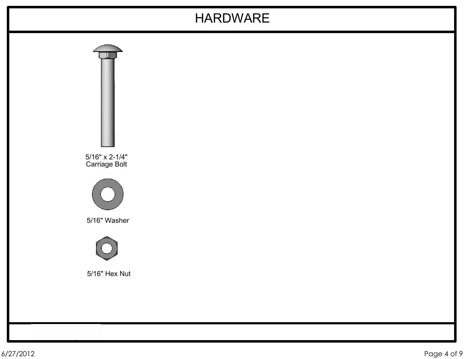# HARDWARE

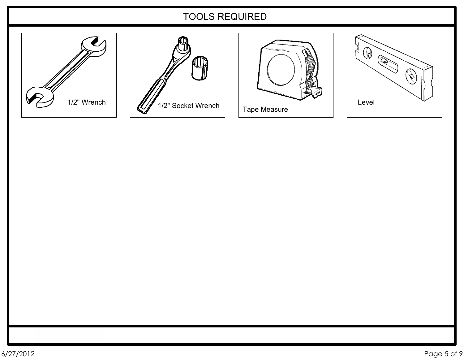## TOOLS REQUIRED







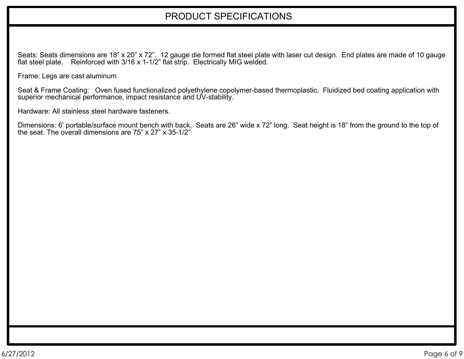## PRODUCT SPECIFICATIONS

Seats: Seats dimensions are 18" x 20" x 72". 12 gauge die formed flat steel plate with laser cut design. End plates are made of 10 gauge flat steel plate. Reinforced with 3/16 x 1-1/2" flat strip. Electrically MIG welded.

Frame: Legs are cast aluminum

Seat & Frame Coating: Oven fused functionalized polyethylene copolymer-based thermoplastic. Fluidized bed coating application with superior mechanical performance, impact resistance and UV-stability.

Hardware: All stainless steel hardware fasteners.

Dimensions: 6' portable/surface mount bench with back. Seats are 26" wide x 72" long. Seat height is 18" from the ground to the top of the seat. The overall dimensions are 75" x 27" x 35-1/2"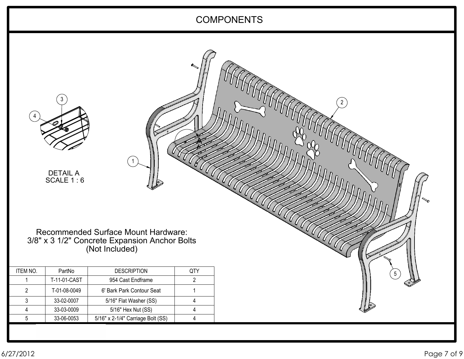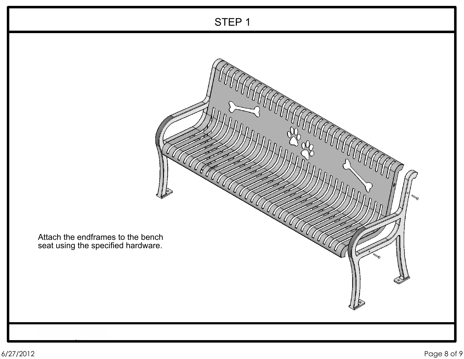